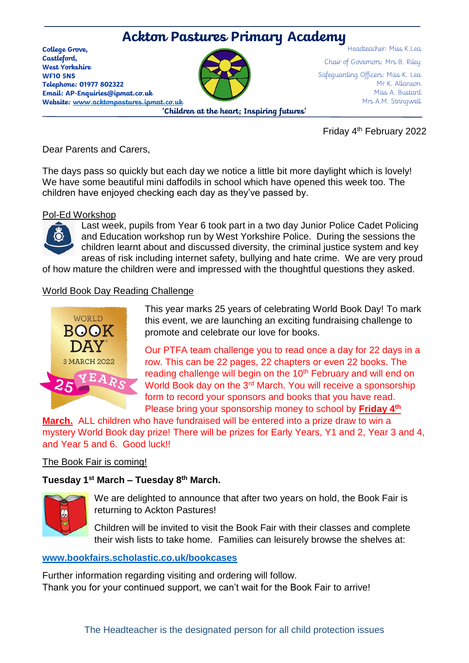# Headteacher: Miss K.Lea **Ackton Pastures Primary Academy**

**College Grove, Castleford, West Yorkshire WF10 5NS Telephone: 01977 802322 Email: AP-Enquiries@ipmat.co.uk Website: [www.acktonpastures.ipmat.co.uk](http://www.acktonpastures.ipmat.co.uk/)**

**'Children at the heart; Inspiring futures'**

Chair of Governors: Mrs B. Riley Safeguarding Officers: Miss K. Lea Mr K. Allanson Miss A. Bustard Mrs A.M. Stringwell

Friday 4th February 2022

Dear Parents and Carers,

The days pass so quickly but each day we notice a little bit more daylight which is lovely! We have some beautiful mini daffodils in school which have opened this week too. The children have enjoyed checking each day as they've passed by.

#### Pol-Ed Workshop



Last week, pupils from Year 6 took part in a two day Junior Police Cadet Policing and Education workshop run by West Yorkshire Police. During the sessions the children learnt about and discussed diversity, the criminal justice system and key areas of risk including internet safety, bullying and hate crime. We are very proud

of how mature the children were and impressed with the thoughtful questions they asked.

# World Book Day Reading Challenge



This year marks 25 years of celebrating World Book Day! To mark this event, we are launching an exciting fundraising challenge to promote and celebrate our love for books.

Our PTFA team challenge you to read once a day for 22 days in a row. This can be 22 pages, 22 chapters or even 22 books. The reading challenge will begin on the 10<sup>th</sup> February and will end on World Book day on the 3<sup>rd</sup> March. You will receive a sponsorship form to record your sponsors and books that you have read. Please bring your sponsorship money to school by **Friday 4th**

**March.** ALL children who have fundraised will be entered into a prize draw to win a mystery World Book day prize! There will be prizes for Early Years, Y1 and 2, Year 3 and 4, and Year 5 and 6. Good luck!!

# The Book Fair is coming!

# **Tuesday 1st March – Tuesday 8th March.**



We are delighted to announce that after two years on hold, the Book Fair is returning to Ackton Pastures!

Children will be invited to visit the Book Fair with their classes and complete their wish lists to take home. Families can leisurely browse the shelves at:

# **[www.bookfairs.scholastic.co.uk/bookcases](http://www.bookfairs.scholastic.co.uk/bookcases)**

Further information regarding visiting and ordering will follow. Thank you for your continued support, we can't wait for the Book Fair to arrive!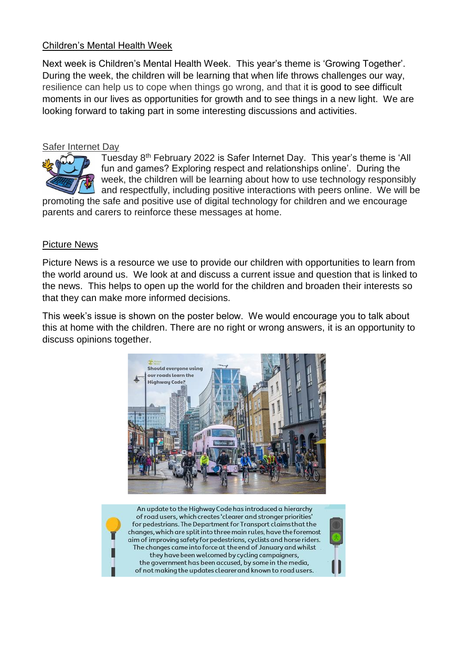# Children's Mental Health Week

Next week is Children's Mental Health Week. This year's theme is 'Growing Together'. During the week, the children will be learning that when life throws challenges our way, resilience can help us to cope when things go wrong, and that it is good to see difficult moments in our lives as opportunities for growth and to see things in a new light. We are looking forward to taking part in some interesting discussions and activities.

#### Safer Internet Day



Tuesday 8th February 2022 is Safer Internet Day. This year's theme is 'All fun and games? Exploring respect and relationships online'. During the week, the children will be learning about how to use technology responsibly and respectfully, including positive interactions with peers online. We will be

promoting the safe and positive use of digital technology for children and we encourage parents and carers to reinforce these messages at home.

#### Picture News

Picture News is a resource we use to provide our children with opportunities to learn from the world around us. We look at and discuss a current issue and question that is linked to the news. This helps to open up the world for the children and broaden their interests so that they can make more informed decisions.

This week's issue is shown on the poster below. We would encourage you to talk about this at home with the children. There are no right or wrong answers, it is an opportunity to discuss opinions together.



An update to the Highway Code has introduced a hierarchy of road users, which creates 'clearer and stronger priorities' for pedestrians. The Department for Transport claims that the changes, which are split into three main rules, have the foremost aim of improving safety for pedestrians, cyclists and horse riders. The changes came into force at the end of January and whilst they have been welcomed by cycling campaigners, the government has been accused, by some in the media, of not making the updates clearer and known to road users.